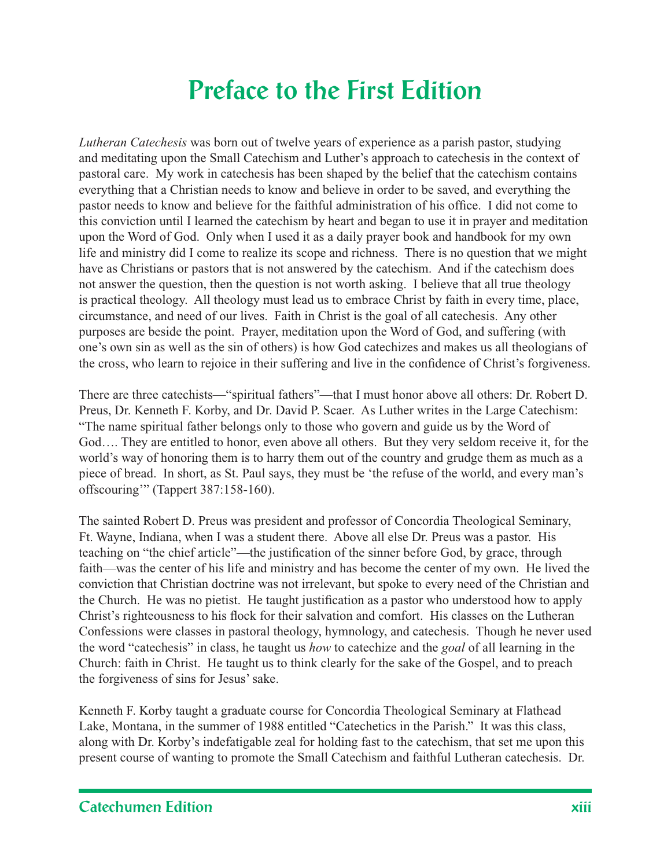## **Preface to the First Edition**

*Lutheran Catechesis* was born out of twelve years of experience as a parish pastor, studying and meditating upon the Small Catechism and Luther's approach to catechesis in the context of pastoral care. My work in catechesis has been shaped by the belief that the catechism contains everything that a Christian needs to know and believe in order to be saved, and everything the pastor needs to know and believe for the faithful administration of his office. I did not come to this conviction until I learned the catechism by heart and began to use it in prayer and meditation upon the Word of God. Only when I used it as a daily prayer book and handbook for my own life and ministry did I come to realize its scope and richness. There is no question that we might have as Christians or pastors that is not answered by the catechism. And if the catechism does not answer the question, then the question is not worth asking. I believe that all true theology is practical theology. All theology must lead us to embrace Christ by faith in every time, place, circumstance, and need of our lives. Faith in Christ is the goal of all catechesis. Any other purposes are beside the point. Prayer, meditation upon the Word of God, and suffering (with one's own sin as well as the sin of others) is how God catechizes and makes us all theologians of the cross, who learn to rejoice in their suffering and live in the confidence of Christ's forgiveness.

There are three catechists—"spiritual fathers"—that I must honor above all others: Dr. Robert D. Preus, Dr. Kenneth F. Korby, and Dr. David P. Scaer. As Luther writes in the Large Catechism: "The name spiritual father belongs only to those who govern and guide us by the Word of God…. They are entitled to honor, even above all others. But they very seldom receive it, for the world's way of honoring them is to harry them out of the country and grudge them as much as a piece of bread. In short, as St. Paul says, they must be 'the refuse of the world, and every man's offscouring'" (Tappert 387:158-160).

The sainted Robert D. Preus was president and professor of Concordia Theological Seminary, Ft. Wayne, Indiana, when I was a student there. Above all else Dr. Preus was a pastor. His teaching on "the chief article"—the justification of the sinner before God, by grace, through faith—was the center of his life and ministry and has become the center of my own. He lived the conviction that Christian doctrine was not irrelevant, but spoke to every need of the Christian and the Church. He was no pietist. He taught justification as a pastor who understood how to apply Christ's righteousness to his flock for their salvation and comfort. His classes on the Lutheran Confessions were classes in pastoral theology, hymnology, and catechesis. Though he never used the word "catechesis" in class, he taught us *how* to catechize and the *goal* of all learning in the Church: faith in Christ. He taught us to think clearly for the sake of the Gospel, and to preach the forgiveness of sins for Jesus' sake.

Kenneth F. Korby taught a graduate course for Concordia Theological Seminary at Flathead Lake, Montana, in the summer of 1988 entitled "Catechetics in the Parish." It was this class, along with Dr. Korby's indefatigable zeal for holding fast to the catechism, that set me upon this present course of wanting to promote the Small Catechism and faithful Lutheran catechesis. Dr.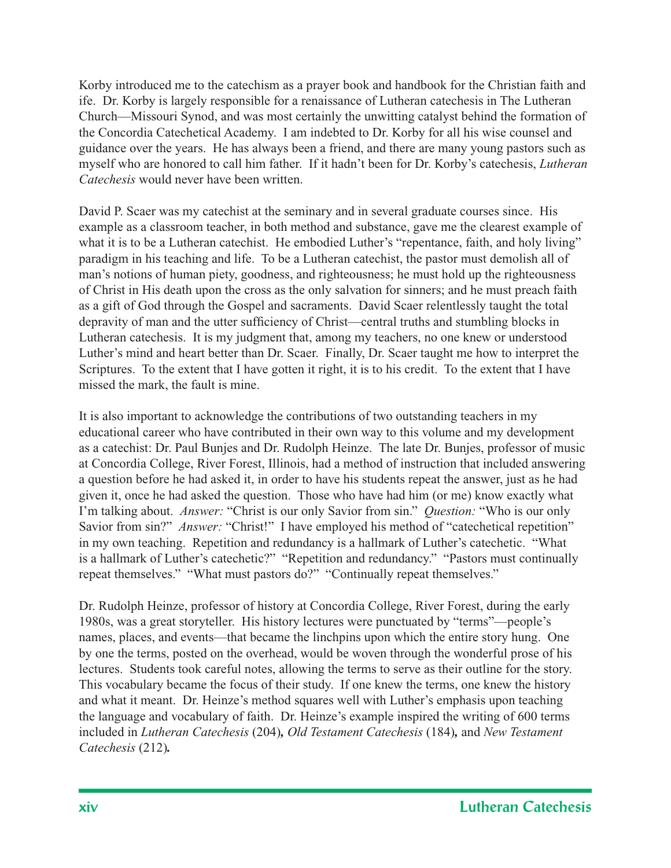Korby introduced me to the catechism as a prayer book and handbook for the Christian faith and ife. Dr. Korby is largely responsible for a renaissance of Lutheran catechesis in The Lutheran Church—Missouri Synod, and was most certainly the unwitting catalyst behind the formation of the Concordia Catechetical Academy. I am indebted to Dr. Korby for all his wise counsel and guidance over the years. He has always been a friend, and there are many young pastors such as myself who are honored to call him father. If it hadn't been for Dr. Korby's catechesis, *Lutheran Catechesis* would never have been written.

David P. Scaer was my catechist at the seminary and in several graduate courses since. His example as a classroom teacher, in both method and substance, gave me the clearest example of what it is to be a Lutheran catechist. He embodied Luther's "repentance, faith, and holy living" paradigm in his teaching and life. To be a Lutheran catechist, the pastor must demolish all of man's notions of human piety, goodness, and righteousness; he must hold up the righteousness of Christ in His death upon the cross as the only salvation for sinners; and he must preach faith as a gift of God through the Gospel and sacraments. David Scaer relentlessly taught the total depravity of man and the utter sufficiency of Christ—central truths and stumbling blocks in Lutheran catechesis. It is my judgment that, among my teachers, no one knew or understood Luther's mind and heart better than Dr. Scaer. Finally, Dr. Scaer taught me how to interpret the Scriptures. To the extent that I have gotten it right, it is to his credit. To the extent that I have missed the mark, the fault is mine.

It is also important to acknowledge the contributions of two outstanding teachers in my educational career who have contributed in their own way to this volume and my development as a catechist: Dr. Paul Bunjes and Dr. Rudolph Heinze. The late Dr. Bunjes, professor of music at Concordia College, River Forest, Illinois, had a method of instruction that included answering a question before he had asked it, in order to have his students repeat the answer, just as he had given it, once he had asked the question. Those who have had him (or me) know exactly what I'm talking about. *Answer:* "Christ is our only Savior from sin." *Question:* "Who is our only Savior from sin?" *Answer*: "Christ!" I have employed his method of "catechetical repetition" in my own teaching. Repetition and redundancy is a hallmark of Luther's catechetic. "What is a hallmark of Luther's catechetic?" "Repetition and redundancy." "Pastors must continually repeat themselves." "What must pastors do?" "Continually repeat themselves."

Dr. Rudolph Heinze, professor of history at Concordia College, River Forest, during the early 1980s, was a great storyteller. His history lectures were punctuated by "terms"—people's names, places, and events—that became the linchpins upon which the entire story hung. One by one the terms, posted on the overhead, would be woven through the wonderful prose of his lectures. Students took careful notes, allowing the terms to serve as their outline for the story. This vocabulary became the focus of their study. If one knew the terms, one knew the history and what it meant. Dr. Heinze's method squares well with Luther's emphasis upon teaching the language and vocabulary of faith. Dr. Heinze's example inspired the writing of 600 terms included in *Lutheran Catechesis* (204)*, Old Testament Catechesis* (184)*,* and *New Testament Catechesis* (212)*.*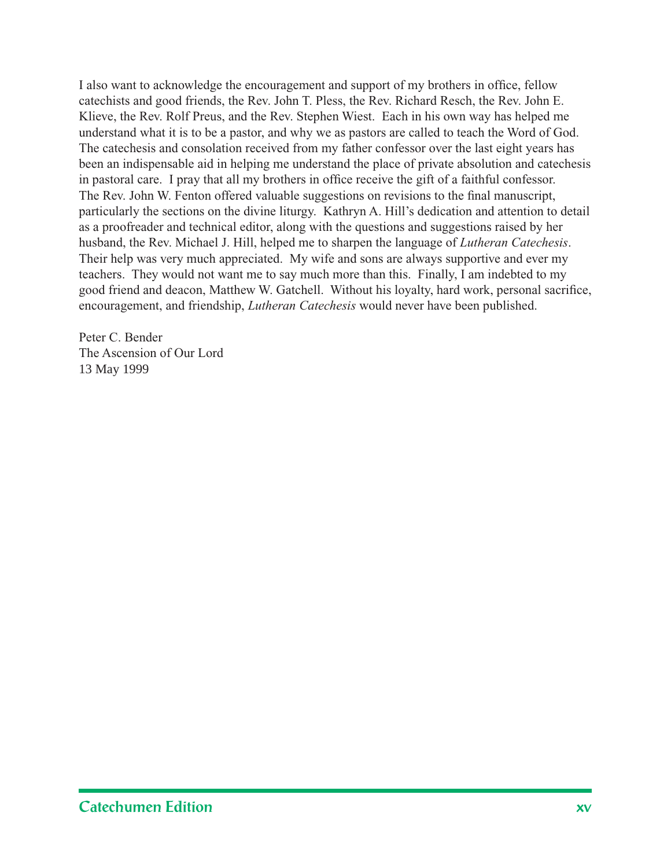I also want to acknowledge the encouragement and support of my brothers in office, fellow catechists and good friends, the Rev. John T. Pless, the Rev. Richard Resch, the Rev. John E. Klieve, the Rev. Rolf Preus, and the Rev. Stephen Wiest. Each in his own way has helped me understand what it is to be a pastor, and why we as pastors are called to teach the Word of God. The catechesis and consolation received from my father confessor over the last eight years has been an indispensable aid in helping me understand the place of private absolution and catechesis in pastoral care. I pray that all my brothers in office receive the gift of a faithful confessor. The Rev. John W. Fenton offered valuable suggestions on revisions to the final manuscript, particularly the sections on the divine liturgy. Kathryn A. Hill's dedication and attention to detail as a proofreader and technical editor, along with the questions and suggestions raised by her husband, the Rev. Michael J. Hill, helped me to sharpen the language of *Lutheran Catechesis*. Their help was very much appreciated. My wife and sons are always supportive and ever my teachers. They would not want me to say much more than this. Finally, I am indebted to my good friend and deacon, Matthew W. Gatchell. Without his loyalty, hard work, personal sacrifice, encouragement, and friendship, *Lutheran Catechesis* would never have been published.

Peter C. Bender The Ascension of Our Lord 13 May 1999